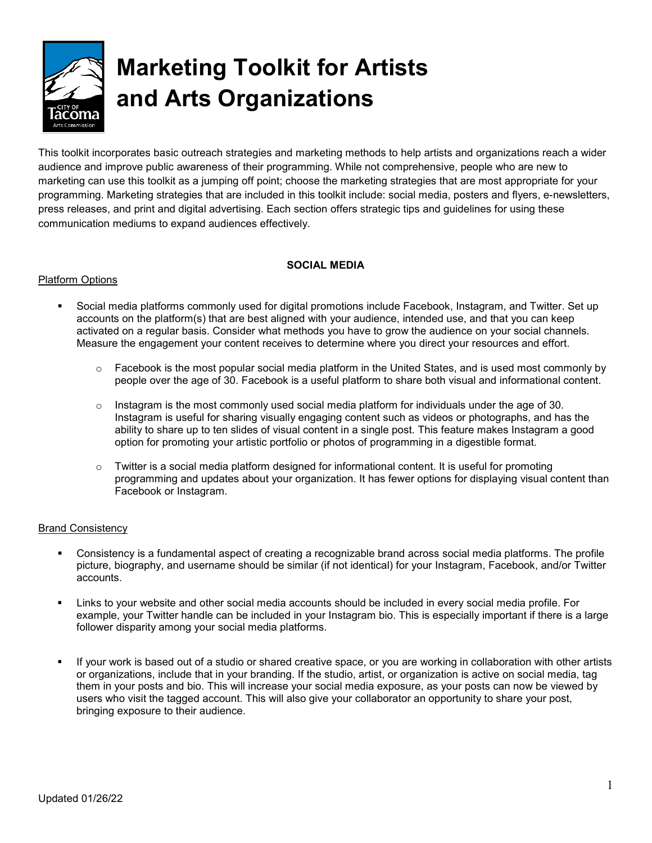

# **Marketing Toolkit for Artists and Arts Organizations**

This toolkit incorporates basic outreach strategies and marketing methods to help artists and organizations reach a wider audience and improve public awareness of their programming. While not comprehensive, people who are new to marketing can use this toolkit as a jumping off point; choose the marketing strategies that are most appropriate for your programming. Marketing strategies that are included in this toolkit include: social media, posters and flyers, e-newsletters, press releases, and print and digital advertising. Each section offers strategic tips and guidelines for using these communication mediums to expand audiences effectively.

## **SOCIAL MEDIA**

## Platform Options

- Social media platforms commonly used for digital promotions include Facebook, Instagram, and Twitter. Set up accounts on the platform(s) that are best aligned with your audience, intended use, and that you can keep activated on a regular basis. Consider what methods you have to grow the audience on your social channels. Measure the engagement your content receives to determine where you direct your resources and effort.
	- $\circ$  Facebook is the most popular social media platform in the United States, and is used most commonly by people over the age of 30. Facebook is a useful platform to share both visual and informational content.
	- $\circ$  Instagram is the most commonly used social media platform for individuals under the age of 30. Instagram is useful for sharing visually engaging content such as videos or photographs, and has the ability to share up to ten slides of visual content in a single post. This feature makes Instagram a good option for promoting your artistic portfolio or photos of programming in a digestible format.
	- $\circ$  Twitter is a social media platform designed for informational content. It is useful for promoting programming and updates about your organization. It has fewer options for displaying visual content than Facebook or Instagram.

## Brand Consistency

- Consistency is a fundamental aspect of creating a recognizable brand across social media platforms. The profile picture, biography, and username should be similar (if not identical) for your Instagram, Facebook, and/or Twitter accounts.
- Links to your website and other social media accounts should be included in every social media profile. For example, your Twitter handle can be included in your Instagram bio. This is especially important if there is a large follower disparity among your social media platforms.
- If your work is based out of a studio or shared creative space, or you are working in collaboration with other artists or organizations, include that in your branding. If the studio, artist, or organization is active on social media, tag them in your posts and bio. This will increase your social media exposure, as your posts can now be viewed by users who visit the tagged account. This will also give your collaborator an opportunity to share your post, bringing exposure to their audience.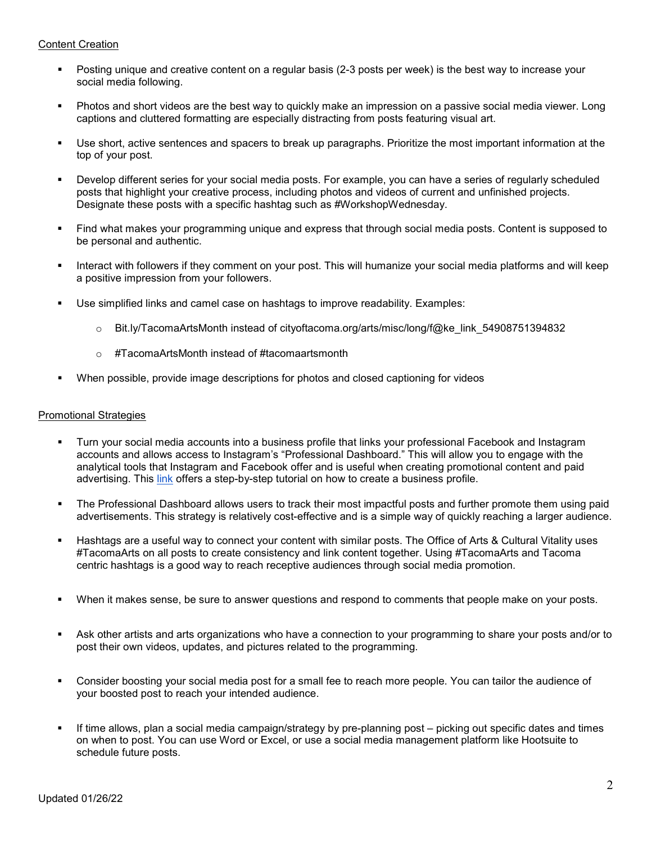## Content Creation

- Posting unique and creative content on a regular basis (2-3 posts per week) is the best way to increase your social media following.
- Photos and short videos are the best way to quickly make an impression on a passive social media viewer. Long captions and cluttered formatting are especially distracting from posts featuring visual art.
- Use short, active sentences and spacers to break up paragraphs. Prioritize the most important information at the top of your post.
- Develop different series for your social media posts. For example, you can have a series of regularly scheduled posts that highlight your creative process, including photos and videos of current and unfinished projects. Designate these posts with a specific hashtag such as #WorkshopWednesday.
- Find what makes your programming unique and express that through social media posts. Content is supposed to be personal and authentic.
- Interact with followers if they comment on your post. This will humanize your social media platforms and will keep a positive impression from your followers.
- Use simplified links and camel case on hashtags to improve readability. Examples:
	- o Bit.ly/TacomaArtsMonth instead of cityoftacoma.org/arts/misc/long/f@ke\_link\_54908751394832
	- o #TacomaArtsMonth instead of #tacomaartsmonth
- When possible, provide image descriptions for photos and closed captioning for videos

#### Promotional Strategies

- Turn your social media accounts into a business profile that links your professional Facebook and Instagram accounts and allows access to Instagram's "Professional Dashboard." This will allow you to engage with the analytical tools that Instagram and Facebook offer and is useful when creating promotional content and paid advertising. This [link](https://blog.hootsuite.com/steps-to-create-a-facebook-business-page/) offers a step-by-step tutorial on how to create a business profile.
- The Professional Dashboard allows users to track their most impactful posts and further promote them using paid advertisements. This strategy is relatively cost-effective and is a simple way of quickly reaching a larger audience.
- Hashtags are a useful way to connect your content with similar posts. The Office of Arts & Cultural Vitality uses #TacomaArts on all posts to create consistency and link content together. Using #TacomaArts and Tacoma centric hashtags is a good way to reach receptive audiences through social media promotion.
- When it makes sense, be sure to answer questions and respond to comments that people make on your posts.
- Ask other artists and arts organizations who have a connection to your programming to share your posts and/or to post their own videos, updates, and pictures related to the programming.
- Consider boosting your social media post for a small fee to reach more people. You can tailor the audience of your boosted post to reach your intended audience.
- If time allows, plan a social media campaign/strategy by pre-planning post picking out specific dates and times on when to post. You can use Word or Excel, or use a social media management platform like Hootsuite to schedule future posts.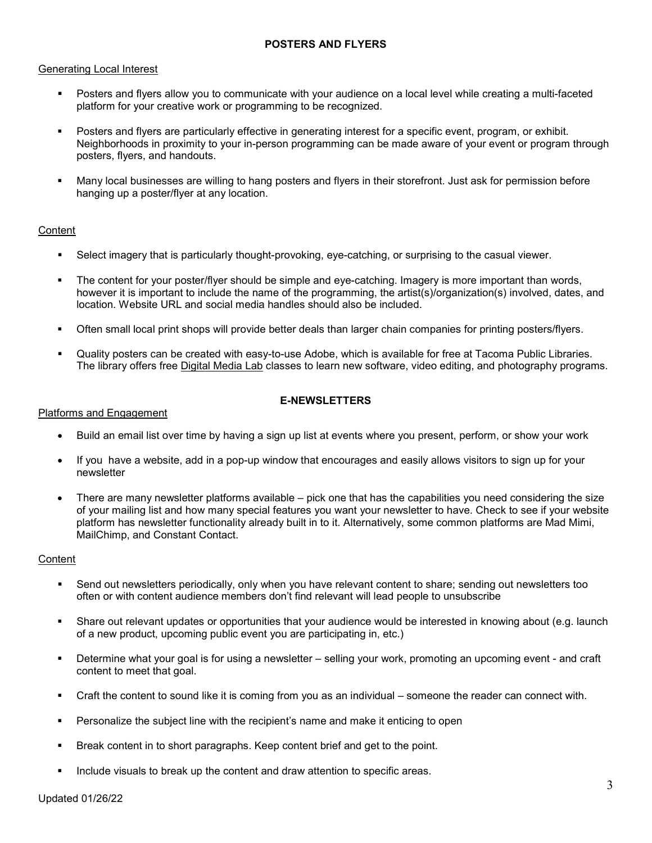## **POSTERS AND FLYERS**

#### Generating Local Interest

- Posters and flyers allow you to communicate with your audience on a local level while creating a multi-faceted platform for your creative work or programming to be recognized.
- Posters and flyers are particularly effective in generating interest for a specific event, program, or exhibit. Neighborhoods in proximity to your in-person programming can be made aware of your event or program through posters, flyers, and handouts.
- Many local businesses are willing to hang posters and flyers in their storefront. Just ask for permission before hanging up a poster/flyer at any location.

## **Content**

- Select imagery that is particularly thought-provoking, eye-catching, or surprising to the casual viewer.
- The content for your poster/flyer should be simple and eye-catching. Imagery is more important than words, however it is important to include the name of the programming, the artist(s)/organization(s) involved, dates, and location. Website URL and social media handles should also be included.
- Often small local print shops will provide better deals than larger chain companies for printing posters/flyers.
- Quality posters can be created with easy-to-use Adobe, which is available for free at Tacoma Public Libraries. The library offers free [Digital](https://www.tacomalibrary.org/digital-media-labs/) Media Lab classes to learn new software, video editing, and photography programs.

#### **E-NEWSLETTERS**

#### Platforms and Engagement

- Build an email list over time by having a sign up list at events where you present, perform, or show your work
- If you have a website, add in a pop-up window that encourages and easily allows visitors to sign up for your newsletter
- There are many newsletter platforms available pick one that has the capabilities you need considering the size of your mailing list and how many special features you want your newsletter to have. Check to see if your website platform has newsletter functionality already built in to it. Alternatively, some common platforms are Mad Mimi, MailChimp, and Constant Contact.

## **Content**

- Send out newsletters periodically, only when you have relevant content to share; sending out newsletters too often or with content audience members don't find relevant will lead people to unsubscribe
- Share out relevant updates or opportunities that your audience would be interested in knowing about (e.g. launch of a new product, upcoming public event you are participating in, etc.)
- Determine what your goal is for using a newsletter selling your work, promoting an upcoming event and craft content to meet that goal.
- Craft the content to sound like it is coming from you as an individual someone the reader can connect with.
- Personalize the subject line with the recipient's name and make it enticing to open
- Break content in to short paragraphs. Keep content brief and get to the point.
- Include visuals to break up the content and draw attention to specific areas.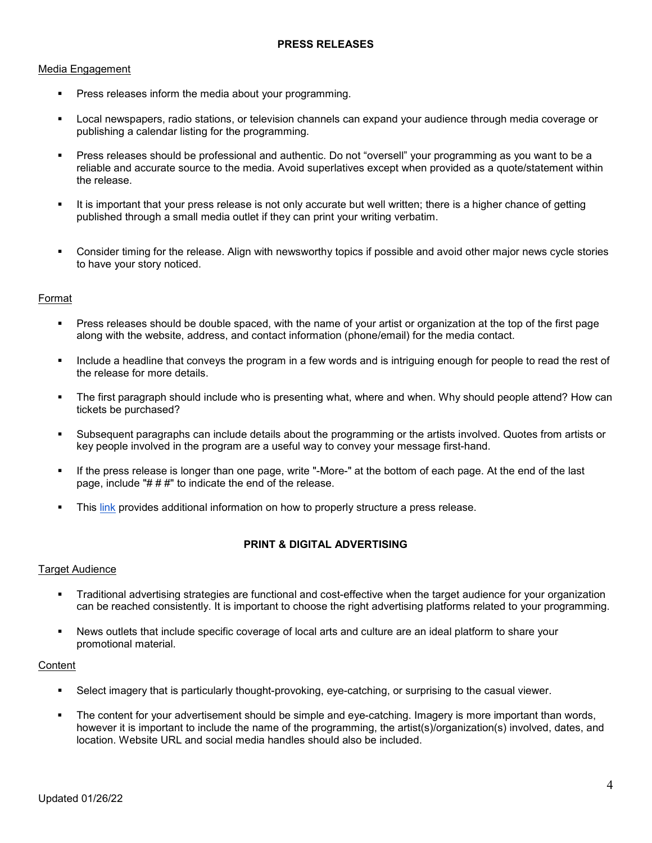#### Media Engagement

- Press releases inform the media about your programming.
- Local newspapers, radio stations, or television channels can expand your audience through media coverage or publishing a calendar listing for the programming.
- Press releases should be professional and authentic. Do not "oversell" your programming as you want to be a reliable and accurate source to the media. Avoid superlatives except when provided as a quote/statement within the release.
- It is important that your press release is not only accurate but well written; there is a higher chance of getting published through a small media outlet if they can print your writing verbatim.
- Consider timing for the release. Align with newsworthy topics if possible and avoid other major news cycle stories to have your story noticed.

## Format

- Press releases should be double spaced, with the name of your artist or organization at the top of the first page along with the website, address, and contact information (phone/email) for the media contact.
- Include a headline that conveys the program in a few words and is intriguing enough for people to read the rest of the release for more details.
- The first paragraph should include who is presenting what, where and when. Why should people attend? How can tickets be purchased?
- Subsequent paragraphs can include details about the programming or the artists involved. Quotes from artists or key people involved in the program are a useful way to convey your message first-hand.
- If the press release is longer than one page, write "-More-" at the bottom of each page. At the end of the last page, include " $# # #"$  to indicate the end of the release.
- This [link](https://www.cafepress.com/cp/learn/index.aspx?page=pr_anatomy) provides additional information on how to properly structure a press release.

# **PRINT & DIGITAL ADVERTISING**

#### **Target Audience**

- Traditional advertising strategies are functional and cost-effective when the target audience for your organization can be reached consistently. It is important to choose the right advertising platforms related to your programming.
- News outlets that include specific coverage of local arts and culture are an ideal platform to share your promotional material.

#### **Content**

- Select imagery that is particularly thought-provoking, eye-catching, or surprising to the casual viewer.
- The content for your advertisement should be simple and eye-catching. Imagery is more important than words, however it is important to include the name of the programming, the artist(s)/organization(s) involved, dates, and location. Website URL and social media handles should also be included.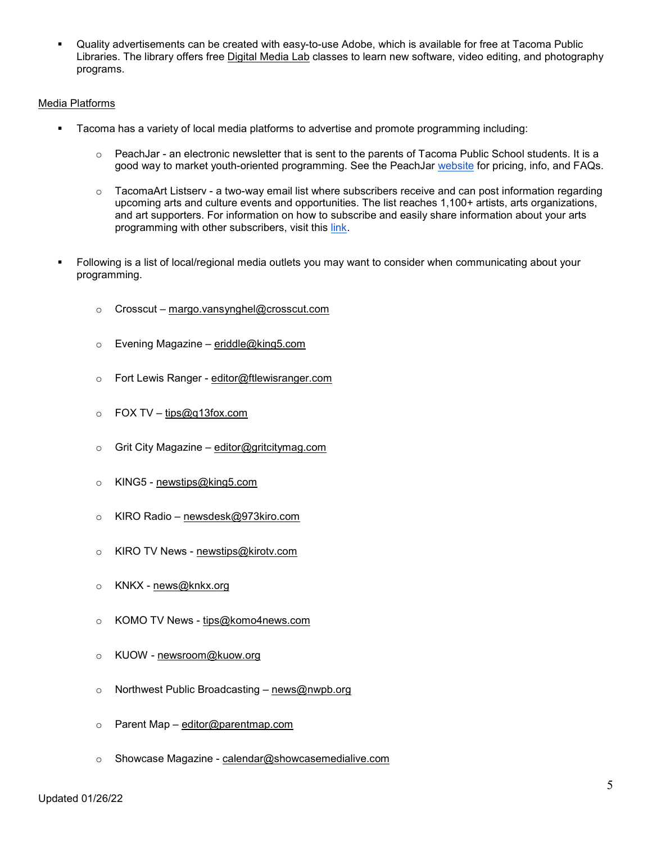Quality advertisements can be created with easy-to-use Adobe, which is available for free at Tacoma Public Libraries. The library offers free [Digital](https://www.tacomalibrary.org/digital-media-labs/) Media Lab classes to learn new software, video editing, and photography programs.

#### Media Platforms

- Tacoma has a variety of local media platforms to advertise and promote programming including:
	- $\circ$  PeachJar an electronic newsletter that is sent to the parents of Tacoma Public School students. It is a good way to market youth-oriented programming. See the PeachJar [website](https://www.peachjar.com/pricing.html) for pricing, info, and FAQs.
	- $\circ$  TacomaArt Listserv a two-way email list where subscribers receive and can post information regarding upcoming arts and culture events and opportunities. The list reaches 1,100+ artists, arts organizations, and art supporters. For information on how to subscribe and easily share information about your arts programming with other subscribers, visit this [link.](https://www.cityoftacoma.org/government/city_departments/tacoma_venues___events/office_of_arts/stay_informed/tacoma_art_listserv)
- Following is a list of local/regional media outlets you may want to consider when communicating about your programming.
	- $\circ$  Crosscut [margo.vansynghel@crosscut.com](mailto:margo.vansynghel@crosscut.com)
	- o Evening Magazine [eriddle@king5.com](mailto:eriddle@king5.com)
	- o Fort Lewis Ranger [editor@ftlewisranger.com](mailto:editor@ftlewisranger.com)
	- $\circ$  FOX TV [tips@q13fox.com](mailto:tips@q13fox.com)
	- o Grit City Magazine [editor@gritcitymag.com](mailto:editor@gritcitymag.com)
	- o KING5 [newstips@king5.com](mailto:newstips@king5.com)
	- o KIRO Radio [newsdesk@973kiro.com](mailto:newsdesk@973kiro.com)
	- o KIRO TV News [newstips@kirotv.com](mailto:newstips@kirotv.com)
	- o KNKX [news@knkx.org](mailto:news@knkx.org)
	- o KOMO TV News [tips@komo4news.com](mailto:tips@komo4news.com)
	- o KUOW [newsroom@kuow.org](mailto:newsroom@kuow.org)
	- o Northwest Public Broadcasting [news@nwpb.org](mailto:news@nwpb.org)
	- o Parent Map [editor@parentmap.com](mailto:editor@parentmap.com)
	- o Showcase Magazine [calendar@showcasemedialive.com](mailto:calendar@showcasemedialive.com)